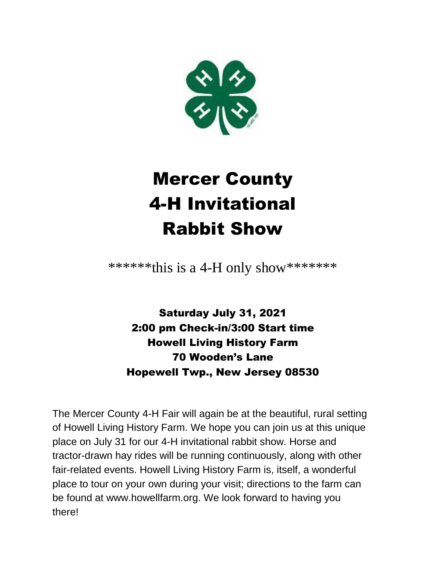

# Mercer County 4-H Invitational Rabbit Show

\*\*\*\*\*\*this is a 4-H only show\*\*\*\*\*\*\*

Saturday July 31, 2021 2:00 pm Check-in/3:00 Start time Howell Living History Farm 70 Wooden's Lane Hopewell Twp., New Jersey 08530

The Mercer County 4-H Fair will again be at the beautiful, rural setting of Howell Living History Farm. We hope you can join us at this unique place on July 31 for our 4-H invitational rabbit show. Horse and tractor-drawn hay rides will be running continuously, along with other fair-related events. Howell Living History Farm is, itself, a wonderful place to tour on your own during your visit; directions to the farm can be found at www.howellfarm.org. We look forward to having you there!